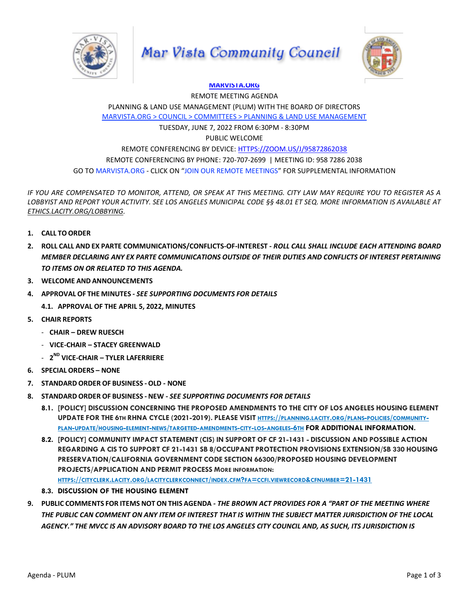





## **[MARVISTA.ORG](http://marvista.org/)**

REMOTE MEETING AGENDA PLANNING & LAND USE MANAGEMENT (PLUM) WITH THE BOARD OF DIRECTORS [MARVISTA.ORG > COUNCIL > COMMITTEES > PLANNING & LAND USE MANAGEMENT](https://www.marvista.org/committees/viewCommittee/planning-land-use-management-committee)

TUESDAY, JUNE 7, 2022 FROM 6:30PM - 8:30PM

## PUBLIC WELCOME

REMOTE CONFERENCING BY DEVICE[: HTTPS://ZOOM.US/J/95872862038](https://zoom.us/j/95872862038) REMOTE CONFERENCING BY PHONE: 720-707-2699 | MEETING ID: 958 7286 2038 GO TO MARVISTA.ORG - CLICK ON "JOIN OUR REMOTE MEETINGS" FOR SUPPLEMENTAL INFORMATION

*IF YOU ARE COMPENSATED TO MONITOR, ATTEND, OR SPEAK AT THIS MEETING. CITY LAW MAY REQUIRE YOU TO REGISTER AS A LOBBYIST AND REPORT YOUR ACTIVITY. SEE LOS ANGELES MUNICIPAL CODE §§ 48.01 ET SEQ. MORE INFORMATION IS AVAILABLE AT [ETHICS.LACITY.ORG/LOBBYING.](http://ethics.lacity.org/lobbying)*

- **1. CALL TO ORDER**
- **2. ROLL CALL AND EX PARTE COMMUNICATIONS/CONFLICTS-OF-INTEREST** *- ROLL CALL SHALL INCLUDE EACH ATTENDING BOARD MEMBER DECLARING ANY EX PARTE COMMUNICATIONS OUTSIDE OF THEIR DUTIES AND CONFLICTS OF INTEREST PERTAINING TO ITEMS ON OR RELATED TO THIS AGENDA.*
- **3. WELCOME AND ANNOUNCEMENTS**
- **4. APPROVAL OF THE MINUTES** *- SEE SUPPORTING DOCUMENTS FOR DETAILS*
	- **4.1. APPROVAL OF THE APRIL 5, 2022, MINUTES**
- **5. CHAIR REPORTS**
	- **CHAIR – DREW RUESCH**
	- **VICE-CHAIR – STACEY GREENWALD**
	- **2 ND VICE-CHAIR – TYLER LAFERRIERE**
- **6. SPECIAL ORDERS – NONE**
- **7. STANDARD ORDER OF BUSINESS -OLD** *-* **NONE**
- **8. STANDARD ORDER OF BUSINESS - NEW** *- SEE SUPPORTING DOCUMENTS FOR DETAILS*
	- **8.1. [POLICY] DISCUSSION CONCERNING THE PROPOSED AMENDMENTS TO THE CITY OF LOS ANGELES HOUSING ELEMENT** UPDATE FOR THE 6TH RHNA CYCLE (2021-2019). PLEASE VISIT HTTPS://PLANNING.LACITY.ORG/PLANS-POLICIES/[COMMUNITY](https://planning.lacity.org/plans-policies/community-plan-update/housing-element-news/targeted-amendments-city-los-angeles-6th)-PLAN-UPDATE/HOUSING-ELEMENT-NEWS/TARGETED-[AMENDMENTS](https://planning.lacity.org/plans-policies/community-plan-update/housing-element-news/targeted-amendments-city-los-angeles-6th)-CITY-LOS-ANGELES-6TH FOR ADDITIONAL INFORMATION.
	- **8.2. [POLICY] COMMUNITY IMPACT STATEMENT (CIS) IN SUPPORT OF CF 21-1431 - DISCUSSION AND POSSIBLE ACTION REGARDING A CIS TO SUPPORT CF 21-1431 SB 8/OCCUPANT PROTECTION PROVISIONS EXTENSION/SB 330 HOUSING PRESERVATION/CALIFORNIA GOVERNMENT CODE SECTION 66300/PROPOSED HOUSING DEVELOPMENT PROJECTS/APPLICATION AND PERMIT PROCESS MORE INFORMATION:** HTTPS://CITYCLERK.LACITY.ORG/[LACITYCLERKCONNECT](https://cityclerk.lacity.org/lacityclerkconnect/index.cfm?fa=ccfi.viewrecord&cfnumber=21-1431)/INDEX.CFM?FA=CCFI.VIEWRECORD&CFNUMBER=21-1431
	- **8.3. DISCUSSION OF THE HOUSING ELEMENT**
- **9. PUBLIC COMMENTS FOR ITEMS NOT ON THIS AGENDA** *- THE BROWN ACT PROVIDES FOR A "PART OF THE MEETING WHERE THE PUBLIC CAN COMMENT ON ANY ITEM OF INTEREST THAT IS WITHIN THE SUBJECT MATTER JURISDICTION OF THE LOCAL AGENCY." THE MVCC IS AN ADVISORY BOARD TO THE LOS ANGELES CITY COUNCIL AND, AS SUCH, ITS JURISDICTION IS*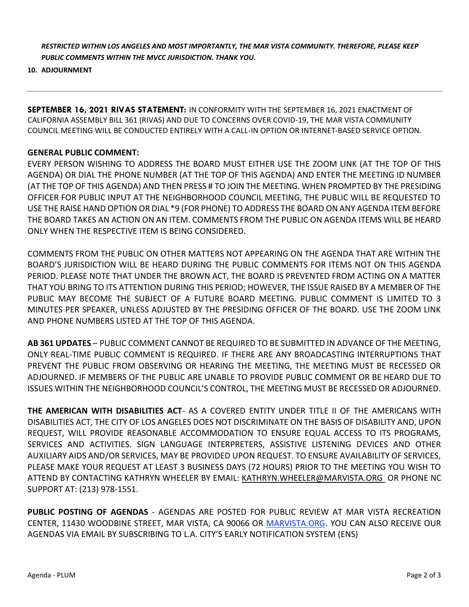*RESTRICTED WITHIN LOS ANGELES AND MOST IMPORTANTLY, THE MAR VISTA COMMUNITY. THEREFORE, PLEASE KEEP PUBLIC COMMENTS WITHIN THE MVCC JURISDICTION. THANK YOU.*

## **10. ADJOURNMENT**

**SEPTEMBER 16, 2021 RIVAS STATEMENT:** IN CONFORMITY WITH THE SEPTEMBER 16, 2021 ENACTMENT OF CALIFORNIA ASSEMBLY BILL 361 (RIVAS) AND DUE TO CONCERNS OVER COVID-19, THE MAR VISTA COMMUNITY COUNCIL MEETING WILL BE CONDUCTED ENTIRELY WITH A CALL-IN OPTION OR INTERNET-BASED SERVICE OPTION.

## **GENERAL PUBLIC COMMENT:**

EVERY PERSON WISHING TO ADDRESS THE BOARD MUST EITHER USE THE ZOOM LINK (AT THE TOP OF THIS AGENDA) OR DIAL THE PHONE NUMBER (AT THE TOP OF THIS AGENDA) AND ENTER THE MEETING ID NUMBER (AT THE TOP OF THIS AGENDA) AND THEN PRESS # TO JOIN THE MEETING. WHEN PROMPTED BY THE PRESIDING OFFICER FOR PUBLIC INPUT AT THE NEIGHBORHOOD COUNCIL MEETING, THE PUBLIC WILL BE REQUESTED TO USE THE RAISE HAND OPTION OR DIAL \*9 (FOR PHONE) TO ADDRESS THE BOARD ON ANY AGENDA ITEM BEFORE THE BOARD TAKES AN ACTION ON AN ITEM. COMMENTS FROM THE PUBLIC ON AGENDA ITEMS WILL BE HEARD ONLY WHEN THE RESPECTIVE ITEM IS BEING CONSIDERED.

COMMENTS FROM THE PUBLIC ON OTHER MATTERS NOT APPEARING ON THE AGENDA THAT ARE WITHIN THE BOARD'S JURISDICTION WILL BE HEARD DURING THE PUBLIC COMMENTS FOR ITEMS NOT ON THIS AGENDA PERIOD. PLEASE NOTE THAT UNDER THE BROWN ACT, THE BOARD IS PREVENTED FROM ACTING ON A MATTER THAT YOU BRING TO ITS ATTENTION DURING THIS PERIOD; HOWEVER, THE ISSUE RAISED BY A MEMBER OF THE PUBLIC MAY BECOME THE SUBJECT OF A FUTURE BOARD MEETING. PUBLIC COMMENT IS LIMITED TO 3 MINUTES PER SPEAKER, UNLESS ADJUSTED BY THE PRESIDING OFFICER OF THE BOARD. USE THE ZOOM LINK AND PHONE NUMBERS LISTED AT THE TOP OF THIS AGENDA.

**AB 361 UPDATES** – PUBLIC COMMENT CANNOT BE REQUIRED TO BE SUBMITTED IN ADVANCE OF THE MEETING, ONLY REAL-TIME PUBLIC COMMENT IS REQUIRED. IF THERE ARE ANY BROADCASTING INTERRUPTIONS THAT PREVENT THE PUBLIC FROM OBSERVING OR HEARING THE MEETING, THE MEETING MUST BE RECESSED OR ADJOURNED. IF MEMBERS OF THE PUBLIC ARE UNABLE TO PROVIDE PUBLIC COMMENT OR BE HEARD DUE TO ISSUES WITHIN THE NEIGHBORHOOD COUNCIL'S CONTROL, THE MEETING MUST BE RECESSED OR ADJOURNED.

**THE AMERICAN WITH DISABILITIES ACT**- AS A COVERED ENTITY UNDER TITLE II OF THE AMERICANS WITH DISABILITIES ACT, THE CITY OF LOS ANGELES DOES NOT DISCRIMINATE ON THE BASIS OF DISABILITY AND, UPON REQUEST, WILL PROVIDE REASONABLE ACCOMMODATION TO ENSURE EQUAL ACCESS TO ITS PROGRAMS, SERVICES AND ACTIVITIES. SIGN LANGUAGE INTERPRETERS, ASSISTIVE LISTENING DEVICES AND OTHER AUXILIARY AIDS AND/OR SERVICES, MAY BE PROVIDED UPON REQUEST. TO ENSURE AVAILABILITY OF SERVICES, PLEASE MAKE YOUR REQUEST AT LEAST 3 BUSINESS DAYS (72 HOURS) PRIOR TO THE MEETING YOU WISH TO ATTEND BY CONTACTING KATHRYN WHEELER BY EMAIL: [KATHRYN.WHEELER@MARVISTA.ORG](mailto:KATHRYN.WHEELER@MARVISTA.ORG)\_OR PHONE NC SUPPORT AT: (213) 978-1551.

**PUBLIC POSTING OF AGENDAS** - AGENDAS ARE POSTED FOR PUBLIC REVIEW AT MAR VISTA RECREATION CENTER, 11430 WOODBINE STREET, MAR VISTA, CA 90066 OR [MARVISTA.ORG.](http://marvista.org/) YOU CAN ALSO RECEIVE OUR AGENDAS VIA EMAIL BY SUBSCRIBING TO L.A. CITY'S EARLY NOTIFICATION SYSTEM (ENS)